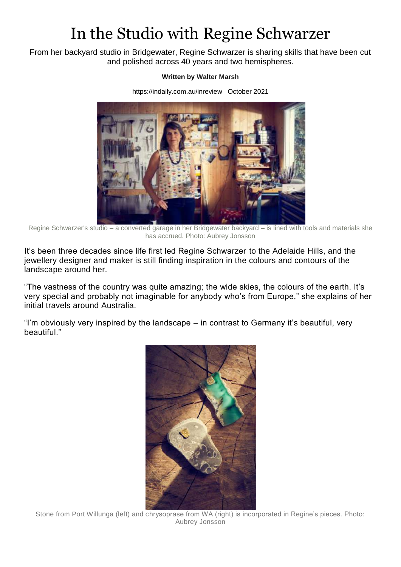## In the Studio with Regine Schwarzer

From her backyard studio in Bridgewater, Regine Schwarzer is sharing skills that have been cut and polished across 40 years and two hemispheres.

## **Written by [Walter Marsh](https://indaily.com.au/contributors/walter-marsh/)**

<https://indaily.com.au/inreview>October 2021



Regine Schwarzer's studio – a converted garage in her Bridgewater backyard – is lined with tools and materials she has accrued. Photo: Aubrey Jonsson

It's been three decades since life first led Regine Schwarzer to the Adelaide Hills, and the jewellery designer and maker is still finding inspiration in the colours and contours of the landscape around her.

"The vastness of the country was quite amazing; the wide skies, the colours of the earth. It's very special and probably not imaginable for anybody who's from Europe," she explains of her initial travels around Australia.

"I'm obviously very inspired by the landscape – in contrast to Germany it's beautiful, very beautiful."



Stone from Port Willunga (left) and chrysoprase from WA (right) is incorporated in Regine's pieces. Photo: Aubrey Jonsson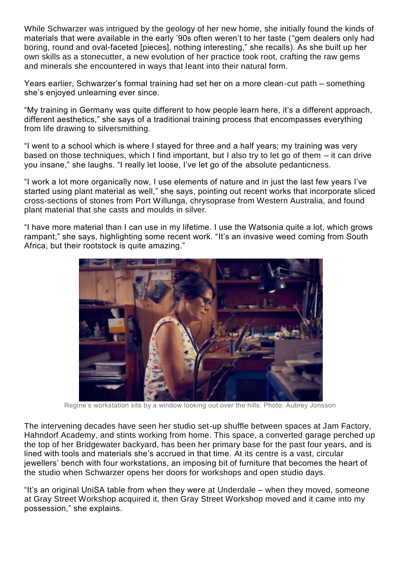While Schwarzer was intrigued by the geology of her new home, she initially found the kinds of materials that were available in the early '90s often weren't to her taste ("gem dealers only had boring, round and oval-faceted [pieces], nothing interesting," she recalls). As she built up her own skills as a stonecutter, a new evolution of her practice took root, crafting the raw gems and minerals she encountered in ways that leant into their natural form.

Years earlier, Schwarzer's formal training had set her on a more clean-cut path – something she's enjoyed unlearning ever since.

"My training in Germany was quite different to how people learn here, it's a different approach, different aesthetics," she says of a traditional training process that encompasses everything from life drawing to silversmithing.

"I went to a school which is where I stayed for three and a half years; my training was very based on those techniques, which I find important, but I also try to let go of them – it can drive you insane," she laughs. "I really let loose, I've let go of the absolute pedanticness.

"I work a lot more organically now, I use elements of nature and in just the last few years I've started using plant material as well," she says, pointing out recent works that incorporate sliced cross-sections of stones from Port Willunga, chrysoprase from Western Australia, and found plant material that she casts and moulds in silver.

"I have more material than I can use in my lifetime. I use the Watsonia quite a lot, which grows rampant," she says, highlighting some recent work. "It's an invasive weed coming from South Africa, but their rootstock is quite amazing."



Regine's workstation sits by a window looking out over the hills. Photo: Aubrey Jonsson

The intervening decades have seen her studio set-up shuffle between spaces at Jam Factory, Hahndorf Academy, and stints working from home. This space, a converted garage perched up the top of her Bridgewater backyard, has been her primary base for the past four years, and is lined with tools and materials she's accrued in that time. At its centre is a vast, circular jewellers' bench with four workstations, an imposing bit of furniture that becomes the heart of the studio when Schwarzer opens her doors for workshops and open studio days.

"It's an original UniSA table from when they were at Underdale – when they moved, someone at Gray Street Workshop acquired it, then Gray Street Workshop moved and it came into my possession," she explains.